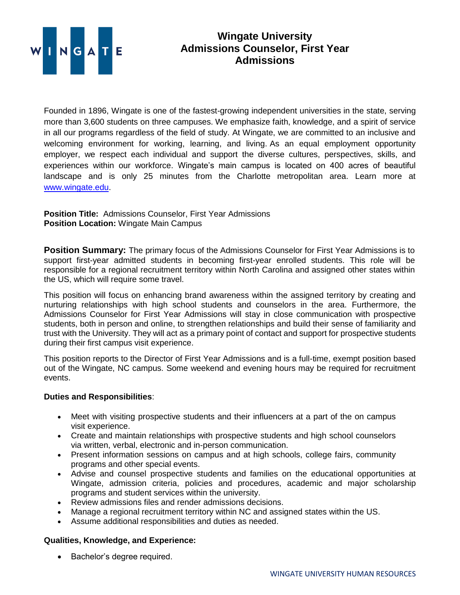

## **Wingate University Admissions Counselor, First Year Admissions**

Founded in 1896, Wingate is one of the fastest-growing independent universities in the state, serving more than 3,600 students on three campuses. We emphasize faith, knowledge, and a spirit of service in all our programs regardless of the field of study. At Wingate, we are committed to an inclusive and welcoming environment for working, learning, and living. As an equal employment opportunity employer, we respect each individual and support the diverse cultures, perspectives, skills, and experiences within our workforce. Wingate's main campus is located on 400 acres of beautiful landscape and is only 25 minutes from the Charlotte metropolitan area. Learn more at [www.wingate.edu.](http://www.wingate/edu)

## **Position Title:** Admissions Counselor, First Year Admissions **Position Location:** Wingate Main Campus

**Position Summary:** The primary focus of the Admissions Counselor for First Year Admissions is to support first-year admitted students in becoming first-year enrolled students. This role will be responsible for a regional recruitment territory within North Carolina and assigned other states within the US, which will require some travel.

This position will focus on enhancing brand awareness within the assigned territory by creating and nurturing relationships with high school students and counselors in the area. Furthermore, the Admissions Counselor for First Year Admissions will stay in close communication with prospective students, both in person and online, to strengthen relationships and build their sense of familiarity and trust with the University. They will act as a primary point of contact and support for prospective students during their first campus visit experience.

This position reports to the Director of First Year Admissions and is a full-time, exempt position based out of the Wingate, NC campus. Some weekend and evening hours may be required for recruitment events.

## **Duties and Responsibilities**:

- Meet with visiting prospective students and their influencers at a part of the on campus visit experience.
- Create and maintain relationships with prospective students and high school counselors via written, verbal, electronic and in-person communication.
- Present information sessions on campus and at high schools, college fairs, community programs and other special events.
- Advise and counsel prospective students and families on the educational opportunities at Wingate, admission criteria, policies and procedures, academic and major scholarship programs and student services within the university.
- Review admissions files and render admissions decisions.
- Manage a regional recruitment territory within NC and assigned states within the US.
- Assume additional responsibilities and duties as needed.

## **Qualities, Knowledge, and Experience:**

• Bachelor's degree required.